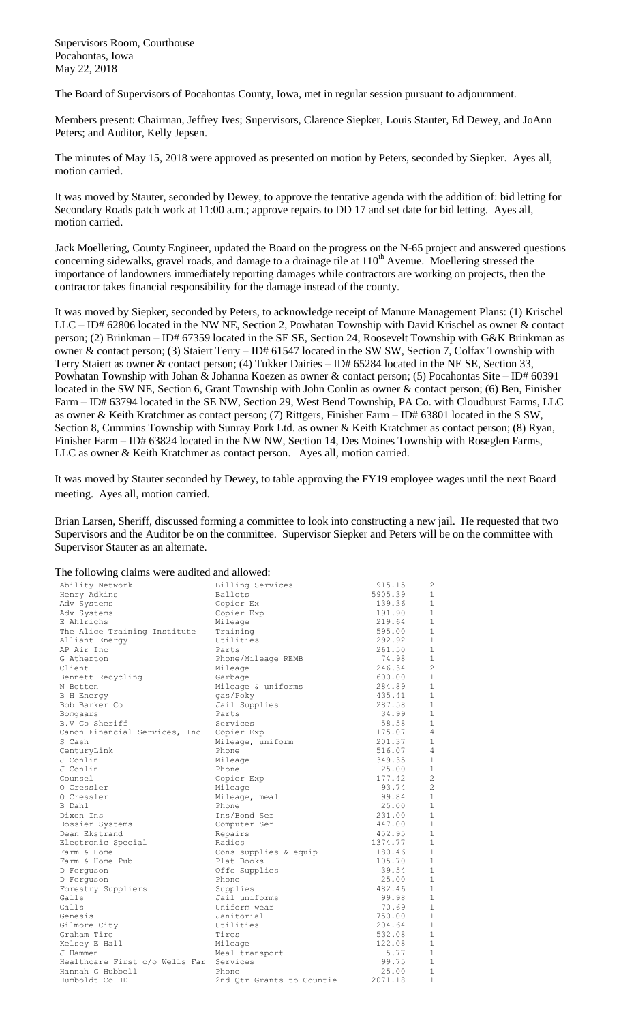Supervisors Room, Courthouse Pocahontas, Iowa May 22, 2018

The Board of Supervisors of Pocahontas County, Iowa, met in regular session pursuant to adjournment.

Members present: Chairman, Jeffrey Ives; Supervisors, Clarence Siepker, Louis Stauter, Ed Dewey, and JoAnn Peters; and Auditor, Kelly Jepsen.

The minutes of May 15, 2018 were approved as presented on motion by Peters, seconded by Siepker. Ayes all, motion carried.

It was moved by Stauter, seconded by Dewey, to approve the tentative agenda with the addition of: bid letting for Secondary Roads patch work at 11:00 a.m.; approve repairs to DD 17 and set date for bid letting. Ayes all, motion carried.

Jack Moellering, County Engineer, updated the Board on the progress on the N-65 project and answered questions concerning sidewalks, gravel roads, and damage to a drainage tile at 110<sup>th</sup> Avenue. Moellering stressed the importance of landowners immediately reporting damages while contractors are working on projects, then the contractor takes financial responsibility for the damage instead of the county.

It was moved by Siepker, seconded by Peters, to acknowledge receipt of Manure Management Plans: (1) Krischel LLC – ID# 62806 located in the NW NE, Section 2, Powhatan Township with David Krischel as owner & contact person; (2) Brinkman – ID# 67359 located in the SE SE, Section 24, Roosevelt Township with G&K Brinkman as owner & contact person; (3) Staiert Terry – ID# 61547 located in the SW SW, Section 7, Colfax Township with Terry Staiert as owner & contact person; (4) Tukker Dairies – ID# 65284 located in the NE SE, Section 33, Powhatan Township with Johan & Johanna Koezen as owner & contact person; (5) Pocahontas Site – ID# 60391 located in the SW NE, Section 6, Grant Township with John Conlin as owner & contact person; (6) Ben, Finisher Farm – ID# 63794 located in the SE NW, Section 29, West Bend Township, PA Co. with Cloudburst Farms, LLC as owner & Keith Kratchmer as contact person; (7) Rittgers, Finisher Farm – ID# 63801 located in the S SW, Section 8, Cummins Township with Sunray Pork Ltd. as owner & Keith Kratchmer as contact person; (8) Ryan, Finisher Farm – ID# 63824 located in the NW NW, Section 14, Des Moines Township with Roseglen Farms, LLC as owner & Keith Kratchmer as contact person. Ayes all, motion carried.

It was moved by Stauter seconded by Dewey, to table approving the FY19 employee wages until the next Board meeting. Ayes all, motion carried.

Brian Larsen, Sheriff, discussed forming a committee to look into constructing a new jail. He requested that two Supervisors and the Auditor be on the committee. Supervisor Siepker and Peters will be on the committee with Supervisor Stauter as an alternate.

| The following claims were audited and allowed: |                           |         |                |  |  |  |
|------------------------------------------------|---------------------------|---------|----------------|--|--|--|
| Ability Network                                | Billing Services          | 915.15  | $\overline{c}$ |  |  |  |
| Henry Adkins                                   | Ballots                   | 5905.39 | 1              |  |  |  |
| Adv Systems                                    | Copier Ex                 | 139.36  | $\mathbf{1}$   |  |  |  |
| Adv Systems                                    | Copier Exp                | 191.90  | $\mathbf{1}$   |  |  |  |
| E Ahlrichs                                     | Mileage                   | 219.64  | $\mathbf{1}$   |  |  |  |
| The Alice Training Institute                   | Training                  | 595.00  | $\mathbf{1}$   |  |  |  |
| Alliant Energy                                 | Utilities                 | 292.92  | $\mathbf{1}$   |  |  |  |
| AP Air Inc                                     | Parts                     | 261.50  | 1              |  |  |  |
| G Atherton                                     | Phone/Mileage REMB        | 74.98   | $\mathbf{1}$   |  |  |  |
| Client                                         | Mileage                   | 246.34  | $\overline{c}$ |  |  |  |
| Bennett Recycling                              | Garbage                   | 600.00  | $\mathbf{1}$   |  |  |  |
| N Betten                                       | Mileage & uniforms        | 284.89  | $\mathbf{1}$   |  |  |  |
| <b>B</b> H Energy                              | gas/Poky                  | 435.41  | $\mathbf{1}$   |  |  |  |
| Bob Barker Co                                  | Jail Supplies             | 287.58  | $\mathbf{1}$   |  |  |  |
| Bomgaars                                       | Parts                     | 34.99   | $\mathbf{1}$   |  |  |  |
| B.V Co Sheriff                                 | Services                  | 58.58   | $\mathbf{1}$   |  |  |  |
| Canon Financial Services, Inc                  | Copier Exp                | 175.07  | 4              |  |  |  |
| S Cash                                         | Mileage, uniform          | 201.37  | $\mathbf{1}$   |  |  |  |
| CenturyLink                                    | Phone                     | 516.07  | $\overline{4}$ |  |  |  |
| J Conlin                                       | Mileage                   | 349.35  | 1              |  |  |  |
| J Conlin                                       | Phone                     | 25.00   | $\mathbf{1}$   |  |  |  |
| Counsel                                        | Copier Exp                | 177.42  | $\overline{c}$ |  |  |  |
| O Cressler                                     | Mileage                   | 93.74   | $\overline{c}$ |  |  |  |
| O Cressler                                     | Mileage, meal             | 99.84   | $\mathbf{1}$   |  |  |  |
| B Dahl                                         | Phone                     | 25.00   | $\mathbf{1}$   |  |  |  |
| Dixon Ins                                      | Ins/Bond Ser              | 231.00  | $\mathbf{1}$   |  |  |  |
| Dossier Systems                                | Computer Ser              | 447.00  | $\mathbf{1}$   |  |  |  |
| Dean Ekstrand                                  | Repairs                   | 452.95  | $\mathbf{1}$   |  |  |  |
| Electronic Special                             | Radios                    | 1374.77 | $\mathbf{1}$   |  |  |  |
| Farm & Home                                    | Cons supplies & equip     | 180.46  | $\mathbf{1}$   |  |  |  |
| Farm & Home Pub                                | Plat Books                | 105.70  | $\mathbf{1}$   |  |  |  |
| D Ferquson                                     | Offc Supplies             | 39.54   | $\mathbf{1}$   |  |  |  |
| D Ferquson                                     | Phone                     | 25.00   | $\mathbf{1}$   |  |  |  |
| Forestry Suppliers                             | Supplies                  | 482.46  | $\mathbf 1$    |  |  |  |
| Galls                                          | Jail uniforms             | 99.98   | 1              |  |  |  |
| Galls                                          | Uniform wear              | 70.69   | $\mathbf{1}$   |  |  |  |
| Genesis                                        | Janitorial                | 750.00  | $\mathbf 1$    |  |  |  |
| Gilmore City                                   | Utilities                 | 204.64  | 1              |  |  |  |
| Graham Tire                                    | Tires                     | 532.08  | $\mathbf{1}$   |  |  |  |
| Kelsey E Hall                                  | Mileage                   | 122.08  | $\mathbf{1}$   |  |  |  |
| J Hammen                                       | Meal-transport            | 5.77    | 1              |  |  |  |
| Healthcare First c/o Wells Far                 | Services                  | 99.75   | $\mathbf{1}$   |  |  |  |
| Hannah G Hubbell                               | Phone                     | 25.00   | $\mathbf{1}$   |  |  |  |
| Humboldt Co HD                                 | 2nd Qtr Grants to Countie | 2071.18 | 1              |  |  |  |

## The following claims were audited and allowed: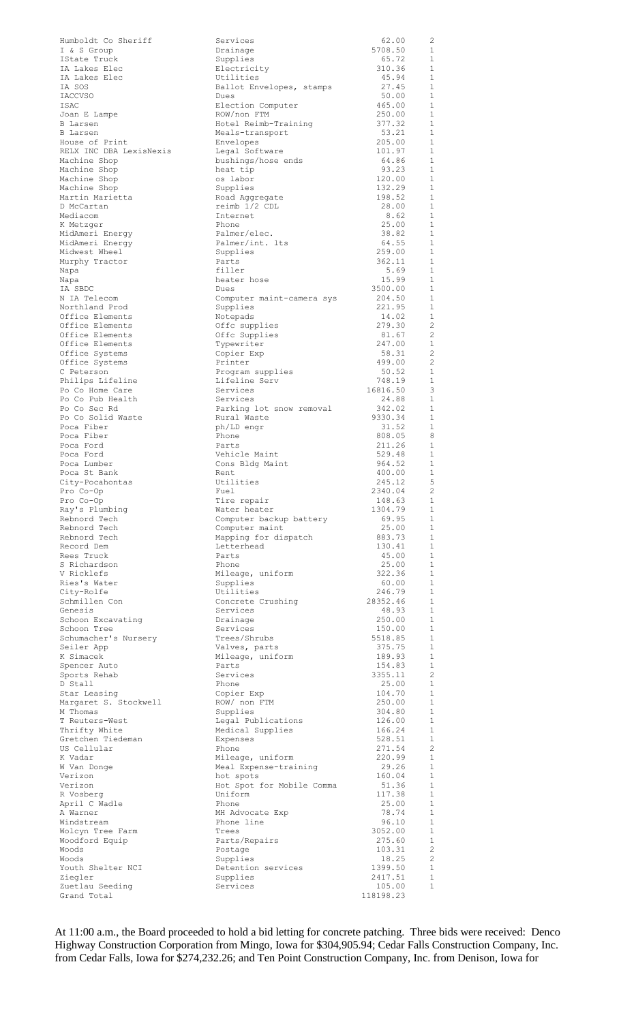| Humboldt Co Sheriff                       | Services                                | 62.00             | $\overline{c}$               |
|-------------------------------------------|-----------------------------------------|-------------------|------------------------------|
| I & S Group                               | Drainage                                | 5708.50           | 1<br>$\mathbf{1}$            |
| IState Truck<br>IA Lakes Elec             | Supplies<br>Electricity                 | 65.72<br>310.36   | 1                            |
| IA Lakes Elec                             | Utilities                               | 45.94             | $\mathbf{1}$                 |
| IA SOS                                    | Ballot Envelopes, stamps                | 27.45             | 1                            |
| IACCVSO<br>ISAC                           | Dues<br>Election Computer               | 50.00<br>465.00   | $\mathbf{1}$<br>1            |
| Joan E Lampe                              | ROW/non FTM                             | 250.00            | 1                            |
| B Larsen                                  | Hotel Reimb-Training                    | 377.32            | 1                            |
| B Larsen                                  | Meals-transport                         | 53.21             | 1                            |
| House of Print<br>RELX INC DBA LexisNexis | Envelopes<br>Legal Software             | 205.00<br>101.97  | 1<br>1                       |
| Machine Shop                              | bushings/hose ends                      | 64.86             | 1                            |
| Machine Shop                              | heat tip                                | 93.23             | 1                            |
| Machine Shop                              | os labor                                | 120.00            | 1                            |
| Machine Shop<br>Martin Marietta           | Supplies<br>Road Aggregate              | 132.29<br>198.52  | 1<br>1                       |
| D McCartan                                | reimb 1/2 CDL                           | 28.00             | <sup>1</sup>                 |
| Mediacom                                  | Internet                                | 8.62              | 1                            |
| K Metzger                                 | Phone                                   | 25.00             | -1                           |
| MidAmeri Energy<br>MidAmeri Energy        | Palmer/elec.<br>Palmer/int. lts         | 38.82<br>64.55    | $\mathbf{1}$<br><sup>1</sup> |
| Midwest Wheel                             | Supplies                                | 259.00            | $\mathbf{1}$                 |
| Murphy Tractor                            | Parts                                   | 362.11            | <sup>1</sup>                 |
| Napa                                      | filler                                  | 5.69              | 1                            |
| Napa<br>IA SBDC                           | heater hose<br>Dues                     | 15.99<br>3500.00  | 1<br>$\mathbf{1}$            |
| N IA Telecom                              | Computer maint-camera sys               | 204.50            | 1                            |
| Northland Prod                            | Supplies                                | 221.95            | $\mathbf{1}$                 |
| Office Elements                           | Notepads                                | 14.02             | 1                            |
| Office Elements<br>Office Elements        | Offc supplies<br>Offc Supplies          | 279.30<br>81.67   | $\overline{c}$<br>-2         |
| Office Elements                           | Typewriter                              | 247.00            | -1                           |
| Office Systems                            | Copier Exp                              | 58.31             | -2                           |
| Office Systems                            | Printer                                 | 499.00            | $\overline{c}$               |
| C Peterson<br>Philips Lifeline            | Program supplies<br>Lifeline Serv       | 50.52<br>748.19   | 1<br>1                       |
| Po Co Home Care                           | Services                                | 16816.50          | 3                            |
| Po Co Pub Health                          | Services                                | 24.88             | 1                            |
| Po Co Sec Rd                              | Parking lot snow removal                | 342.02            | 1                            |
| Po Co Solid Waste<br>Poca Fiber           | Rural Waste<br>ph/LD engr               | 9330.34<br>31.52  | <sup>1</sup><br>1            |
| Poca Fiber                                | Phone                                   | 808.05            | - 8                          |
| Poca Ford                                 | Parts                                   | 211.26            | 1                            |
| Poca Ford                                 | Vehicle Maint                           | 529.48            | 1                            |
| Poca Lumber<br>Poca St Bank               | Cons Bldg Maint<br>Rent                 | 964.52<br>400.00  | 1<br>$\mathbf{1}$            |
| City-Pocahontas                           | Utilities                               | 245.12            | 5                            |
| Pro Co-Op                                 | Fuel                                    | 2340.04           | $\overline{\phantom{0}}^2$   |
| Pro Co-Op                                 | Tire repair                             | 148.63            | 1                            |
| Ray's Plumbing<br>Rebnord Tech            | Water heater<br>Computer backup battery | 1304.79<br>69.95  | -1<br>1                      |
| Rebnord Tech                              | Computer maint                          | 25.00             | 1                            |
| Rebnord Tech                              | Mapping for dispatch                    | 883.73            | $\mathbf{1}$                 |
| Record Dem                                | Letterhead                              | 130.41            | -1                           |
| Rees Truck                                | Parts                                   | 45.00<br>25.00    | $\mathbf{1}$<br>$\mathbf{1}$ |
| S Richardson<br>V Ricklefs                | Phone<br>Mileage, uniform               | 322.36            | $\mathbf{1}$                 |
| Ries's Water                              | Supplies                                | 60.00             | 1                            |
| City-Rolfe                                | Utilities                               | 246.79            | $\mathbf{1}$                 |
| Schmillen Con<br>Genesis                  | Concrete Crushing<br>Services           | 28352.46          | -1<br>$\mathbf{1}$           |
| Schoon Excavating                         | Drainage                                | 48.93<br>250.00   | <sup>1</sup>                 |
| Schoon Tree                               | Services                                | 150.00            | <sup>1</sup>                 |
| Schumacher's Nursery                      | Trees/Shrubs                            | 5518.85           | $\overline{1}$               |
| Seiler App                                | Valves, parts                           | 375.75            | <sup>1</sup>                 |
| K Simacek<br>Spencer Auto                 | Mileage, uniform<br>Parts               | 189.93<br>154.83  | $\mathbf{1}$<br>-1           |
| Sports Rehab                              | Services                                | 3355.11           | $\overline{c}$               |
| D Stall                                   | Phone                                   | 25.00             | $\mathbf{1}$                 |
| Star Leasing                              | Copier Exp                              | 104.70            | $\mathbf{1}$                 |
| Margaret S. Stockwell<br>M Thomas         | ROW/ non FTM<br>Supplies                | 250.00<br>304.80  | 1<br><sup>1</sup>            |
| T Reuters-West                            | Legal Publications                      | 126.00            | 1                            |
| Thrifty White                             | Medical Supplies                        | 166.24            | <sup>1</sup>                 |
| Gretchen Tiedeman                         | Expenses<br>Phone                       | 528.51            | 1<br>$\overline{c}$          |
| US Cellular<br>K Vadar                    | Mileage, uniform                        | 271.54<br>220.99  | $\overline{1}$               |
| W Van Donge                               | Meal Expense-training                   | 29.26             | 1                            |
| Verizon                                   | hot spots                               | 160.04            | $\mathbf{1}$                 |
| Verizon                                   | Hot Spot for Mobile Comma               | 51.36             | 1                            |
| R Vosberg<br>April C Wadle                | Uniform<br>Phone                        | 117.38<br>25.00   | $\mathbf{1}$<br>1            |
| A Warner                                  | MH Advocate Exp                         | 78.74             | $\overline{1}$               |
| Windstream                                | Phone line                              | 96.10             | 1                            |
| Wolcyn Tree Farm                          | Trees                                   | 3052.00           | $\mathbf{1}$                 |
| Woodford Equip<br>Woods                   | Parts/Repairs<br>Postage                | 275.60<br>103.31  | -1<br>$\overline{2}$         |
| Woods                                     | Supplies                                | 18.25             | $\overline{2}$               |
| Youth Shelter NCI                         | Detention services                      | 1399.50           | -1                           |
| Ziegler                                   | Supplies<br>Services                    | 2417.51<br>105.00 | 1<br>$\mathbf{1}$            |
| Zuetlau Seeding<br>Grand Total            |                                         | 118198.23         |                              |
|                                           |                                         |                   |                              |

At 11:00 a.m., the Board proceeded to hold a bid letting for concrete patching. Three bids were received: Denco Highway Construction Corporation from Mingo, Iowa for \$304,905.94; Cedar Falls Construction Company, Inc. from Cedar Falls, Iowa for \$274,232.26; and Ten Point Construction Company, Inc. from Denison, Iowa for